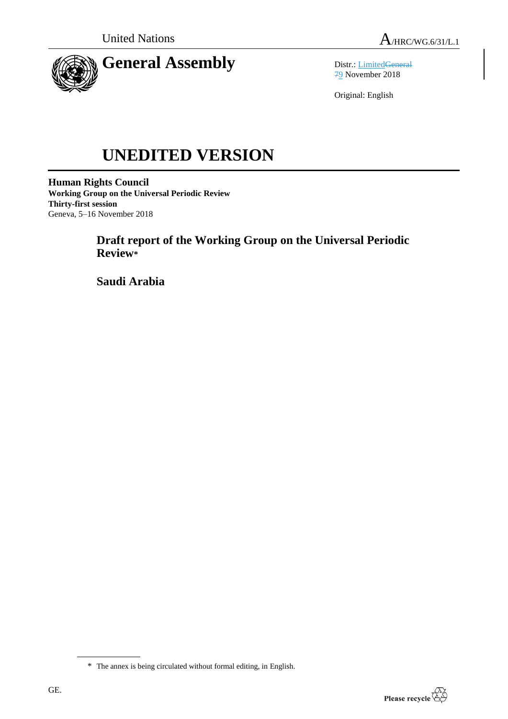

Distr.: LimitedGeneral 79 November 2018

Original: English

# **UNEDITED VERSION**

**Human Rights Council Working Group on the Universal Periodic Review Thirty-first session** Geneva, 5–16 November 2018

> **Draft report of the Working Group on the Universal Periodic Review\***

**Saudi Arabia**

<sup>\*</sup> The annex is being circulated without formal editing, in English.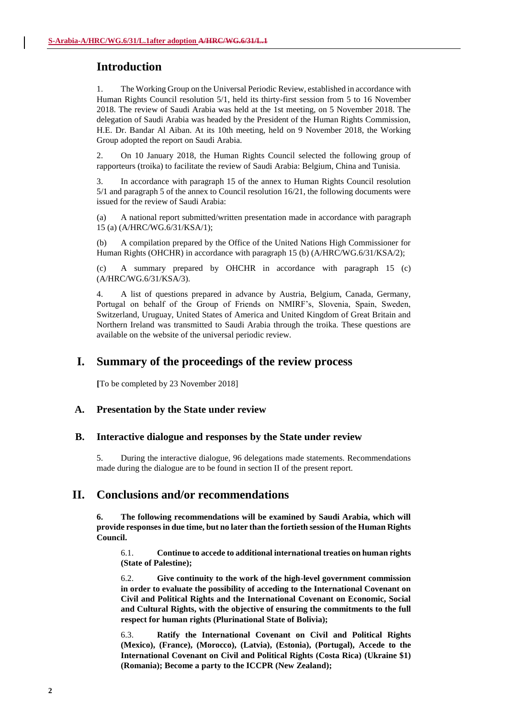## **Introduction**

1. The Working Group on the Universal Periodic Review, established in accordance with Human Rights Council resolution 5/1, held its thirty-first session from 5 to 16 November 2018. The review of Saudi Arabia was held at the 1st meeting, on 5 November 2018. The delegation of Saudi Arabia was headed by the President of the Human Rights Commission, H.E. Dr. Bandar Al Aiban. At its 10th meeting, held on 9 November 2018, the Working Group adopted the report on Saudi Arabia.

2. On 10 January 2018, the Human Rights Council selected the following group of rapporteurs (troika) to facilitate the review of Saudi Arabia: Belgium, China and Tunisia.

3. In accordance with paragraph 15 of the annex to Human Rights Council resolution 5/1 and paragraph 5 of the annex to Council resolution 16/21, the following documents were issued for the review of Saudi Arabia:

(a) A national report submitted/written presentation made in accordance with paragraph 15 (a) (A/HRC/WG.6/31/KSA/1);

(b) A compilation prepared by the Office of the United Nations High Commissioner for Human Rights (OHCHR) in accordance with paragraph 15 (b) (A/HRC/WG.6/31/KSA/2);

(c) A summary prepared by OHCHR in accordance with paragraph 15 (c) (A/HRC/WG.6/31/KSA/3).

4. A list of questions prepared in advance by Austria, Belgium, Canada, Germany, Portugal on behalf of the Group of Friends on NMIRF's, Slovenia, Spain, Sweden, Switzerland, Uruguay, United States of America and United Kingdom of Great Britain and Northern Ireland was transmitted to Saudi Arabia through the troika. These questions are available on the website of the universal periodic review.

## **I. Summary of the proceedings of the review process**

**[**To be completed by 23 November 2018]

#### **A. Presentation by the State under review**

#### **B. Interactive dialogue and responses by the State under review**

5. During the interactive dialogue, 96 delegations made statements. Recommendations made during the dialogue are to be found in section II of the present report.

## **II. Conclusions and/or recommendations**

**6. The following recommendations will be examined by Saudi Arabia, which will provide responses in due time, but no later than the fortieth session of the Human Rights Council.**

6.1. **Continue to accede to additional international treaties on human rights (State of Palestine);**

6.2. **Give continuity to the work of the high-level government commission in order to evaluate the possibility of acceding to the International Covenant on Civil and Political Rights and the International Covenant on Economic, Social and Cultural Rights, with the objective of ensuring the commitments to the full respect for human rights (Plurinational State of Bolivia);**

6.3. **Ratify the International Covenant on Civil and Political Rights (Mexico), (France), (Morocco), (Latvia), (Estonia), (Portugal), Accede to the International Covenant on Civil and Political Rights (Costa Rica) (Ukraine \$1) (Romania); Become a party to the ICCPR (New Zealand);**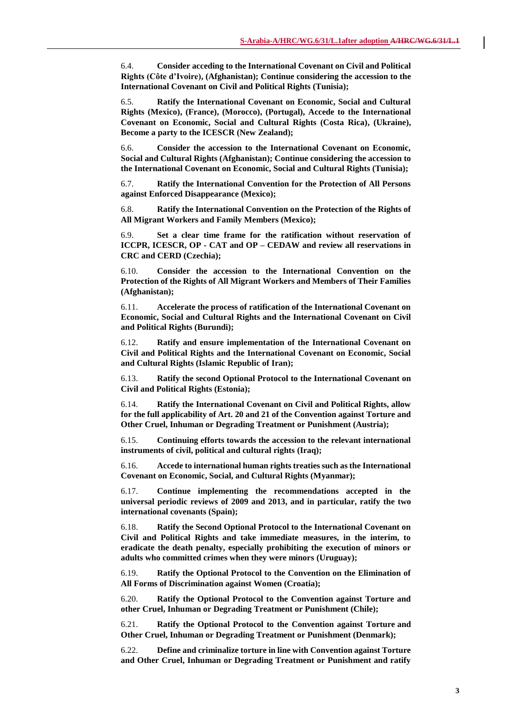6.4. **Consider acceding to the International Covenant on Civil and Political Rights (Côte d'Ivoire), (Afghanistan); Continue considering the accession to the International Covenant on Civil and Political Rights (Tunisia);**

6.5. **Ratify the International Covenant on Economic, Social and Cultural Rights (Mexico), (France), (Morocco), (Portugal), Accede to the International Covenant on Economic, Social and Cultural Rights (Costa Rica), (Ukraine), Become a party to the ICESCR (New Zealand);**

6.6. **Consider the accession to the International Covenant on Economic, Social and Cultural Rights (Afghanistan); Continue considering the accession to the International Covenant on Economic, Social and Cultural Rights (Tunisia);**

6.7. **Ratify the International Convention for the Protection of All Persons against Enforced Disappearance (Mexico);**

6.8. **Ratify the International Convention on the Protection of the Rights of All Migrant Workers and Family Members (Mexico);**

6.9. **Set a clear time frame for the ratification without reservation of ICCPR, ICESCR, OP - CAT and OP – CEDAW and review all reservations in CRC and CERD (Czechia);**

6.10. **Consider the accession to the International Convention on the Protection of the Rights of All Migrant Workers and Members of Their Families (Afghanistan);**

6.11. **Accelerate the process of ratification of the International Covenant on Economic, Social and Cultural Rights and the International Covenant on Civil and Political Rights (Burundi);**

6.12. **Ratify and ensure implementation of the International Covenant on Civil and Political Rights and the International Covenant on Economic, Social and Cultural Rights (Islamic Republic of Iran);**

6.13. **Ratify the second Optional Protocol to the International Covenant on Civil and Political Rights (Estonia);**

6.14. **Ratify the International Covenant on Civil and Political Rights, allow for the full applicability of Art. 20 and 21 of the Convention against Torture and Other Cruel, Inhuman or Degrading Treatment or Punishment (Austria);**

6.15. **Continuing efforts towards the accession to the relevant international instruments of civil, political and cultural rights (Iraq);**

6.16. **Accede to international human rights treaties such as the International Covenant on Economic, Social, and Cultural Rights (Myanmar);**

6.17. **Continue implementing the recommendations accepted in the universal periodic reviews of 2009 and 2013, and in particular, ratify the two international covenants (Spain);**

6.18. **Ratify the Second Optional Protocol to the International Covenant on Civil and Political Rights and take immediate measures, in the interim, to eradicate the death penalty, especially prohibiting the execution of minors or adults who committed crimes when they were minors (Uruguay);**

6.19. **Ratify the Optional Protocol to the Convention on the Elimination of All Forms of Discrimination against Women (Croatia);**

6.20. **Ratify the Optional Protocol to the Convention against Torture and other Cruel, Inhuman or Degrading Treatment or Punishment (Chile);**

6.21. **Ratify the Optional Protocol to the Convention against Torture and Other Cruel, Inhuman or Degrading Treatment or Punishment (Denmark);**

6.22. **Define and criminalize torture in line with Convention against Torture and Other Cruel, Inhuman or Degrading Treatment or Punishment and ratify**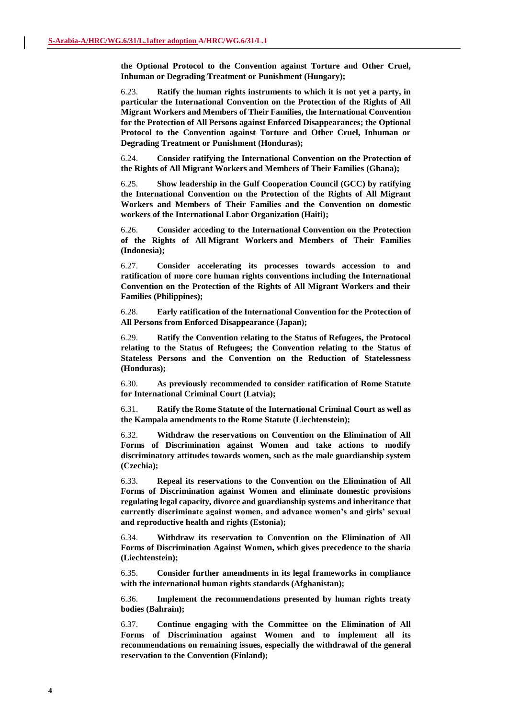**the Optional Protocol to the Convention against Torture and Other Cruel, Inhuman or Degrading Treatment or Punishment (Hungary);**

6.23. **Ratify the human rights instruments to which it is not yet a party, in particular the International Convention on the Protection of the Rights of All Migrant Workers and Members of Their Families, the International Convention for the Protection of All Persons against Enforced Disappearances; the Optional Protocol to the Convention against Torture and Other Cruel, Inhuman or Degrading Treatment or Punishment (Honduras);**

6.24. **Consider ratifying the International Convention on the Protection of the Rights of All Migrant Workers and Members of Their Families (Ghana);**

6.25. **Show leadership in the Gulf Cooperation Council (GCC) by ratifying the International Convention on the Protection of the Rights of All Migrant Workers and Members of Their Families and the Convention on domestic workers of the International Labor Organization (Haiti);**

6.26. **Consider acceding to the International Convention on the Protection of the Rights of All Migrant Workers and Members of Their Families (Indonesia);**

6.27. **Consider accelerating its processes towards accession to and ratification of more core human rights conventions including the International Convention on the Protection of the Rights of All Migrant Workers and their Families (Philippines);**

6.28. **Early ratification of the International Convention for the Protection of All Persons from Enforced Disappearance (Japan);**

6.29. **Ratify the Convention relating to the Status of Refugees, the Protocol relating to the Status of Refugees; the Convention relating to the Status of Stateless Persons and the Convention on the Reduction of Statelessness (Honduras);**

6.30. **As previously recommended to consider ratification of Rome Statute for International Criminal Court (Latvia);**

6.31. **Ratify the Rome Statute of the International Criminal Court as well as the Kampala amendments to the Rome Statute (Liechtenstein);**

6.32. **Withdraw the reservations on Convention on the Elimination of All Forms of Discrimination against Women and take actions to modify discriminatory attitudes towards women, such as the male guardianship system (Czechia);**

6.33. **Repeal its reservations to the Convention on the Elimination of All Forms of Discrimination against Women and eliminate domestic provisions regulating legal capacity, divorce and guardianship systems and inheritance that currently discriminate against women, and advance women's and girls' sexual and reproductive health and rights (Estonia);**

6.34. **Withdraw its reservation to Convention on the Elimination of All Forms of Discrimination Against Women, which gives precedence to the sharia (Liechtenstein);**

6.35. **Consider further amendments in its legal frameworks in compliance with the international human rights standards (Afghanistan);**

6.36. **Implement the recommendations presented by human rights treaty bodies (Bahrain);**

6.37. **Continue engaging with the Committee on the Elimination of All Forms of Discrimination against Women and to implement all its recommendations on remaining issues, especially the withdrawal of the general reservation to the Convention (Finland);**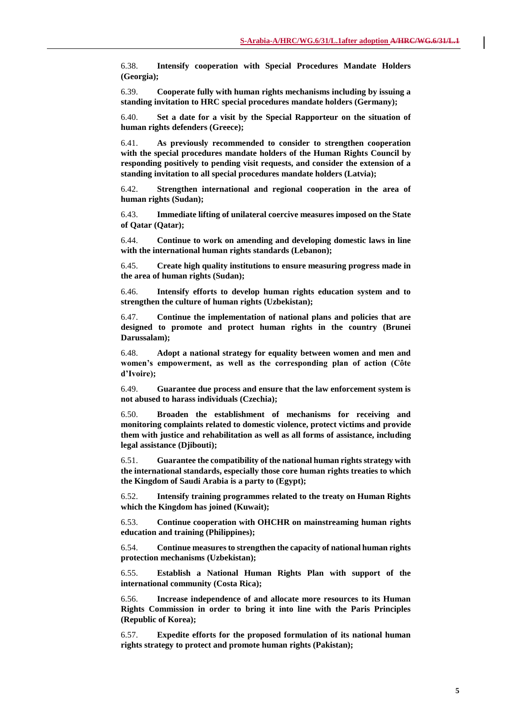6.38. **Intensify cooperation with Special Procedures Mandate Holders (Georgia);**

6.39. **Cooperate fully with human rights mechanisms including by issuing a standing invitation to HRC special procedures mandate holders (Germany);**

6.40. **Set a date for a visit by the Special Rapporteur on the situation of human rights defenders (Greece);**

6.41. **As previously recommended to consider to strengthen cooperation with the special procedures mandate holders of the Human Rights Council by responding positively to pending visit requests, and consider the extension of a standing invitation to all special procedures mandate holders (Latvia);**

6.42. **Strengthen international and regional cooperation in the area of human rights (Sudan);**

6.43. **Immediate lifting of unilateral coercive measures imposed on the State of Qatar (Qatar);**

6.44. **Continue to work on amending and developing domestic laws in line with the international human rights standards (Lebanon);**

6.45. **Create high quality institutions to ensure measuring progress made in the area of human rights (Sudan);**

6.46. **Intensify efforts to develop human rights education system and to strengthen the culture of human rights (Uzbekistan);**

6.47. **Continue the implementation of national plans and policies that are designed to promote and protect human rights in the country (Brunei Darussalam);**

6.48. **Adopt a national strategy for equality between women and men and women's empowerment, as well as the corresponding plan of action (Côte d'Ivoire);**

6.49. **Guarantee due process and ensure that the law enforcement system is not abused to harass individuals (Czechia);**

6.50. **Broaden the establishment of mechanisms for receiving and monitoring complaints related to domestic violence, protect victims and provide them with justice and rehabilitation as well as all forms of assistance, including legal assistance (Djibouti);**

6.51. **Guarantee the compatibility of the national human rights strategy with the international standards, especially those core human rights treaties to which the Kingdom of Saudi Arabia is a party to (Egypt);**

6.52. **Intensify training programmes related to the treaty on Human Rights which the Kingdom has joined (Kuwait);**

6.53. **Continue cooperation with OHCHR on mainstreaming human rights education and training (Philippines);**

6.54. **Continue measures to strengthen the capacity of national human rights protection mechanisms (Uzbekistan);**

6.55. **Establish a National Human Rights Plan with support of the international community (Costa Rica);**

6.56. **Increase independence of and allocate more resources to its Human Rights Commission in order to bring it into line with the Paris Principles (Republic of Korea);**

6.57. **Expedite efforts for the proposed formulation of its national human rights strategy to protect and promote human rights (Pakistan);**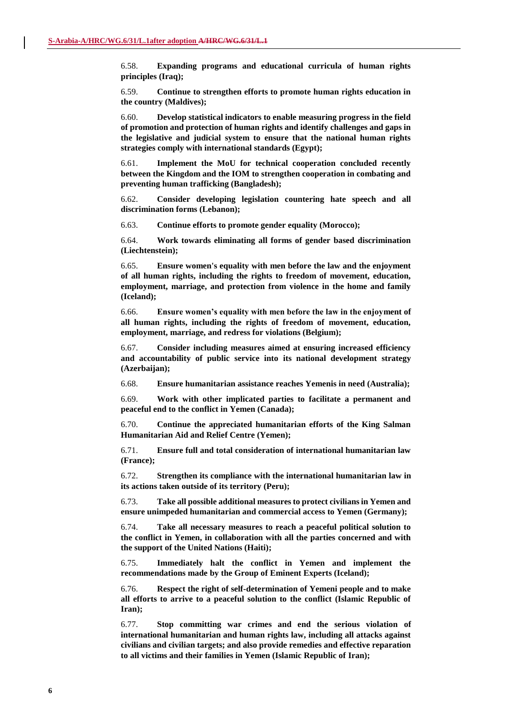6.58. **Expanding programs and educational curricula of human rights principles (Iraq);**

6.59. **Continue to strengthen efforts to promote human rights education in the country (Maldives);**

6.60. **Develop statistical indicators to enable measuring progress in the field of promotion and protection of human rights and identify challenges and gaps in the legislative and judicial system to ensure that the national human rights strategies comply with international standards (Egypt);**

6.61. **Implement the MoU for technical cooperation concluded recently between the Kingdom and the IOM to strengthen cooperation in combating and preventing human trafficking (Bangladesh);**

6.62. **Consider developing legislation countering hate speech and all discrimination forms (Lebanon);**

6.63. **Continue efforts to promote gender equality (Morocco);**

6.64. **Work towards eliminating all forms of gender based discrimination (Liechtenstein);**

6.65. **Ensure women's equality with men before the law and the enjoyment of all human rights, including the rights to freedom of movement, education, employment, marriage, and protection from violence in the home and family (Iceland);**

6.66. **Ensure women's equality with men before the law in the enjoyment of all human rights, including the rights of freedom of movement, education, employment, marriage, and redress for violations (Belgium);**

6.67. **Consider including measures aimed at ensuring increased efficiency and accountability of public service into its national development strategy (Azerbaijan);**

6.68. **Ensure humanitarian assistance reaches Yemenis in need (Australia);**

6.69. **Work with other implicated parties to facilitate a permanent and peaceful end to the conflict in Yemen (Canada);**

6.70. **Continue the appreciated humanitarian efforts of the King Salman Humanitarian Aid and Relief Centre (Yemen);**

6.71. **Ensure full and total consideration of international humanitarian law (France);**

6.72. **Strengthen its compliance with the international humanitarian law in its actions taken outside of its territory (Peru);**

6.73. **Take all possible additional measures to protect civilians in Yemen and ensure unimpeded humanitarian and commercial access to Yemen (Germany);**

6.74. **Take all necessary measures to reach a peaceful political solution to the conflict in Yemen, in collaboration with all the parties concerned and with the support of the United Nations (Haiti);**

6.75. **Immediately halt the conflict in Yemen and implement the recommendations made by the Group of Eminent Experts (Iceland);**

6.76. **Respect the right of self-determination of Yemeni people and to make all efforts to arrive to a peaceful solution to the conflict (Islamic Republic of Iran);**

6.77. **Stop committing war crimes and end the serious violation of international humanitarian and human rights law, including all attacks against civilians and civilian targets; and also provide remedies and effective reparation to all victims and their families in Yemen (Islamic Republic of Iran);**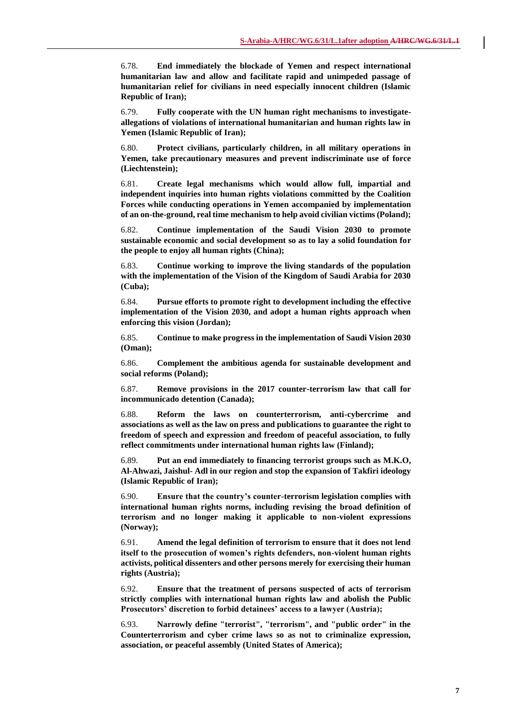6.78. **End immediately the blockade of Yemen and respect international humanitarian law and allow and facilitate rapid and unimpeded passage of humanitarian relief for civilians in need especially innocent children (Islamic Republic of Iran);**

6.79. **Fully cooperate with the UN human right mechanisms to investigateallegations of violations of international humanitarian and human rights law in Yemen (Islamic Republic of Iran);**

6.80. **Protect civilians, particularly children, in all military operations in Yemen, take precautionary measures and prevent indiscriminate use of force (Liechtenstein);**

6.81. **Create legal mechanisms which would allow full, impartial and independent inquiries into human rights violations committed by the Coalition Forces while conducting operations in Yemen accompanied by implementation of an on-the-ground, real time mechanism to help avoid civilian victims (Poland);**

6.82. **Continue implementation of the Saudi Vision 2030 to promote sustainable economic and social development so as to lay a solid foundation for the people to enjoy all human rights (China);**

6.83. **Continue working to improve the living standards of the population with the implementation of the Vision of the Kingdom of Saudi Arabia for 2030 (Cuba);**

6.84. **Pursue efforts to promote right to development including the effective implementation of the Vision 2030, and adopt a human rights approach when enforcing this vision (Jordan);**

6.85. **Continue to make progress in the implementation of Saudi Vision 2030 (Oman);**

6.86. **Complement the ambitious agenda for sustainable development and social reforms (Poland);**

6.87. **Remove provisions in the 2017 counter-terrorism law that call for incommunicado detention (Canada);**

6.88. **Reform the laws on counterterrorism, anti-cybercrime and associations as well as the law on press and publications to guarantee the right to freedom of speech and expression and freedom of peaceful association, to fully reflect commitments under international human rights law (Finland);**

6.89. **Put an end immediately to financing terrorist groups such as M.K.O, Al-Ahwazi, Jaishul- Adl in our region and stop the expansion of Takfiri ideology (Islamic Republic of Iran);**

6.90. **Ensure that the country's counter-terrorism legislation complies with international human rights norms, including revising the broad definition of terrorism and no longer making it applicable to non-violent expressions (Norway);**

6.91. **Amend the legal definition of terrorism to ensure that it does not lend itself to the prosecution of women's rights defenders, non-violent human rights activists, political dissenters and other persons merely for exercising their human rights (Austria);**

6.92. **Ensure that the treatment of persons suspected of acts of terrorism strictly complies with international human rights law and abolish the Public Prosecutors' discretion to forbid detainees' access to a lawyer (Austria);**

6.93. **Narrowly define "terrorist", "terrorism", and "public order" in the Counterterrorism and cyber crime laws so as not to criminalize expression, association, or peaceful assembly (United States of America);**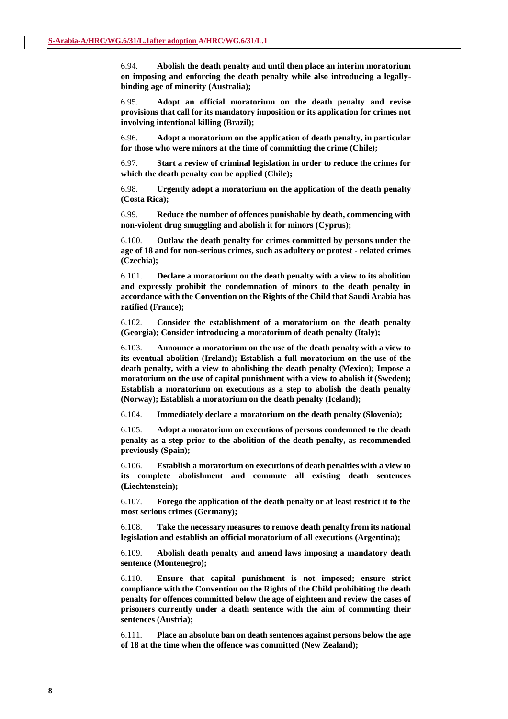6.94. **Abolish the death penalty and until then place an interim moratorium on imposing and enforcing the death penalty while also introducing a legallybinding age of minority (Australia);**

6.95. **Adopt an official moratorium on the death penalty and revise provisions that call for its mandatory imposition or its application for crimes not involving intentional killing (Brazil);**

6.96. **Adopt a moratorium on the application of death penalty, in particular for those who were minors at the time of committing the crime (Chile);**

6.97. **Start a review of criminal legislation in order to reduce the crimes for which the death penalty can be applied (Chile);**

6.98. **Urgently adopt a moratorium on the application of the death penalty (Costa Rica);**

6.99. **Reduce the number of offences punishable by death, commencing with non-violent drug smuggling and abolish it for minors (Cyprus);**

6.100. **Outlaw the death penalty for crimes committed by persons under the age of 18 and for non-serious crimes, such as adultery or protest - related crimes (Czechia);**

6.101. **Declare a moratorium on the death penalty with a view to its abolition and expressly prohibit the condemnation of minors to the death penalty in accordance with the Convention on the Rights of the Child that Saudi Arabia has ratified (France);**

6.102. **Consider the establishment of a moratorium on the death penalty (Georgia); Consider introducing a moratorium of death penalty (Italy);**

6.103. **Announce a moratorium on the use of the death penalty with a view to its eventual abolition (Ireland); Establish a full moratorium on the use of the death penalty, with a view to abolishing the death penalty (Mexico); Impose a moratorium on the use of capital punishment with a view to abolish it (Sweden); Establish a moratorium on executions as a step to abolish the death penalty (Norway); Establish a moratorium on the death penalty (Iceland);**

6.104. **Immediately declare a moratorium on the death penalty (Slovenia);**

6.105. **Adopt a moratorium on executions of persons condemned to the death penalty as a step prior to the abolition of the death penalty, as recommended previously (Spain);**

6.106. **Establish a moratorium on executions of death penalties with a view to its complete abolishment and commute all existing death sentences (Liechtenstein);**

6.107. **Forego the application of the death penalty or at least restrict it to the most serious crimes (Germany);**

6.108. **Take the necessary measures to remove death penalty from its national legislation and establish an official moratorium of all executions (Argentina);**

6.109. **Abolish death penalty and amend laws imposing a mandatory death sentence (Montenegro);**

6.110. **Ensure that capital punishment is not imposed; ensure strict compliance with the Convention on the Rights of the Child prohibiting the death penalty for offences committed below the age of eighteen and review the cases of prisoners currently under a death sentence with the aim of commuting their sentences (Austria);**

6.111. **Place an absolute ban on death sentences against persons below the age of 18 at the time when the offence was committed (New Zealand);**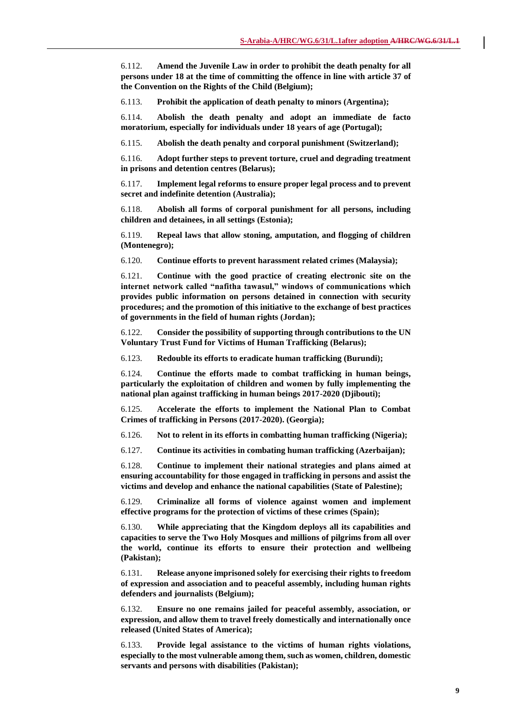6.112. **Amend the Juvenile Law in order to prohibit the death penalty for all persons under 18 at the time of committing the offence in line with article 37 of the Convention on the Rights of the Child (Belgium);**

6.113. **Prohibit the application of death penalty to minors (Argentina);**

6.114. **Abolish the death penalty and adopt an immediate de facto moratorium, especially for individuals under 18 years of age (Portugal);**

6.115. **Abolish the death penalty and corporal punishment (Switzerland);**

6.116. **Adopt further steps to prevent torture, cruel and degrading treatment in prisons and detention centres (Belarus);**

6.117. **Implement legal reforms to ensure proper legal process and to prevent secret and indefinite detention (Australia);**

6.118. **Abolish all forms of corporal punishment for all persons, including children and detainees, in all settings (Estonia);**

6.119. **Repeal laws that allow stoning, amputation, and flogging of children (Montenegro);**

6.120. **Continue efforts to prevent harassment related crimes (Malaysia);**

6.121. **Continue with the good practice of creating electronic site on the internet network called "nafitha tawasul," windows of communications which provides public information on persons detained in connection with security procedures; and the promotion of this initiative to the exchange of best practices of governments in the field of human rights (Jordan);**

6.122. **Consider the possibility of supporting through contributions to the UN Voluntary Trust Fund for Victims of Human Trafficking (Belarus);**

6.123. **Redouble its efforts to eradicate human trafficking (Burundi);**

6.124. **Continue the efforts made to combat trafficking in human beings, particularly the exploitation of children and women by fully implementing the national plan against trafficking in human beings 2017-2020 (Djibouti);**

6.125. **Accelerate the efforts to implement the National Plan to Combat Crimes of trafficking in Persons (2017-2020). (Georgia);**

6.126. **Not to relent in its efforts in combatting human trafficking (Nigeria);**

6.127. **Continue its activities in combating human trafficking (Azerbaijan);**

6.128. **Continue to implement their national strategies and plans aimed at ensuring accountability for those engaged in trafficking in persons and assist the victims and develop and enhance the national capabilities (State of Palestine);**

6.129. **Criminalize all forms of violence against women and implement effective programs for the protection of victims of these crimes (Spain);**

6.130. **While appreciating that the Kingdom deploys all its capabilities and capacities to serve the Two Holy Mosques and millions of pilgrims from all over the world, continue its efforts to ensure their protection and wellbeing (Pakistan);**

6.131. **Release anyone imprisoned solely for exercising their rights to freedom of expression and association and to peaceful assembly, including human rights defenders and journalists (Belgium);**

6.132. **Ensure no one remains jailed for peaceful assembly, association, or expression, and allow them to travel freely domestically and internationally once released (United States of America);**

6.133. **Provide legal assistance to the victims of human rights violations, especially to the most vulnerable among them, such as women, children, domestic servants and persons with disabilities (Pakistan);**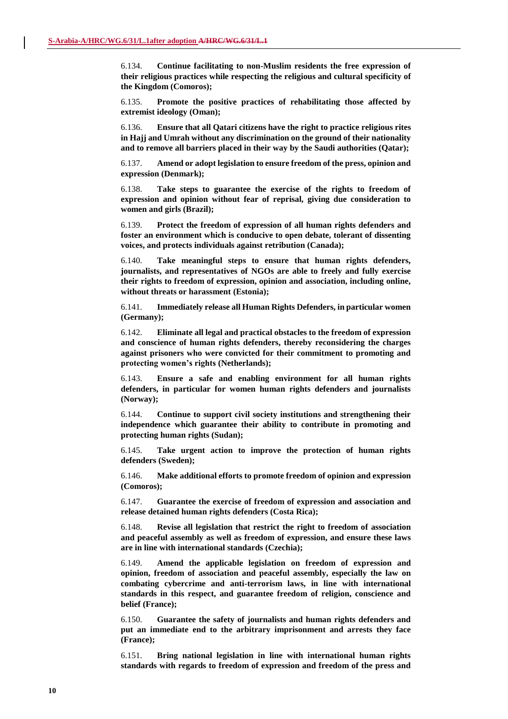6.134. **Continue facilitating to non-Muslim residents the free expression of their religious practices while respecting the religious and cultural specificity of the Kingdom (Comoros);**

6.135. **Promote the positive practices of rehabilitating those affected by extremist ideology (Oman);**

6.136. **Ensure that all Qatari citizens have the right to practice religious rites in Hajj and Umrah without any discrimination on the ground of their nationality and to remove all barriers placed in their way by the Saudi authorities (Qatar);**

6.137. **Amend or adopt legislation to ensure freedom of the press, opinion and expression (Denmark);**

6.138. **Take steps to guarantee the exercise of the rights to freedom of expression and opinion without fear of reprisal, giving due consideration to women and girls (Brazil);**

6.139. **Protect the freedom of expression of all human rights defenders and foster an environment which is conducive to open debate, tolerant of dissenting voices, and protects individuals against retribution (Canada);**

6.140. **Take meaningful steps to ensure that human rights defenders, journalists, and representatives of NGOs are able to freely and fully exercise their rights to freedom of expression, opinion and association, including online, without threats or harassment (Estonia);**

6.141. **Immediately release all Human Rights Defenders, in particular women (Germany);**

6.142. **Eliminate all legal and practical obstacles to the freedom of expression and conscience of human rights defenders, thereby reconsidering the charges against prisoners who were convicted for their commitment to promoting and protecting women's rights (Netherlands);**

6.143. **Ensure a safe and enabling environment for all human rights defenders, in particular for women human rights defenders and journalists (Norway);**

6.144. **Continue to support civil society institutions and strengthening their independence which guarantee their ability to contribute in promoting and protecting human rights (Sudan);**

6.145. **Take urgent action to improve the protection of human rights defenders (Sweden);**

6.146. **Make additional efforts to promote freedom of opinion and expression (Comoros);**

6.147. **Guarantee the exercise of freedom of expression and association and release detained human rights defenders (Costa Rica);**

6.148. **Revise all legislation that restrict the right to freedom of association and peaceful assembly as well as freedom of expression, and ensure these laws are in line with international standards (Czechia);**

6.149. **Amend the applicable legislation on freedom of expression and opinion, freedom of association and peaceful assembly, especially the law on combating cybercrime and anti-terrorism laws, in line with international standards in this respect, and guarantee freedom of religion, conscience and belief (France);**

6.150. **Guarantee the safety of journalists and human rights defenders and put an immediate end to the arbitrary imprisonment and arrests they face (France);**

6.151. **Bring national legislation in line with international human rights standards with regards to freedom of expression and freedom of the press and**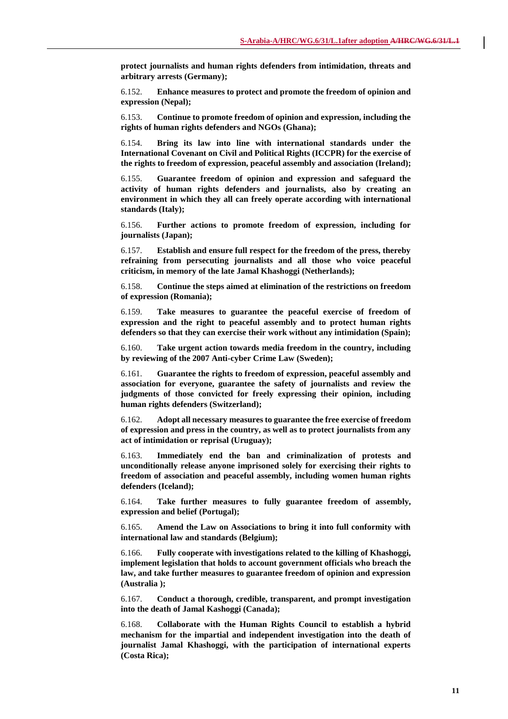**protect journalists and human rights defenders from intimidation, threats and arbitrary arrests (Germany);**

6.152. **Enhance measures to protect and promote the freedom of opinion and expression (Nepal);**

6.153. **Continue to promote freedom of opinion and expression, including the rights of human rights defenders and NGOs (Ghana);**

6.154. **Bring its law into line with international standards under the International Covenant on Civil and Political Rights (ICCPR) for the exercise of the rights to freedom of expression, peaceful assembly and association (Ireland);**

6.155. **Guarantee freedom of opinion and expression and safeguard the activity of human rights defenders and journalists, also by creating an environment in which they all can freely operate according with international standards (Italy);**

6.156. **Further actions to promote freedom of expression, including for journalists (Japan);**

6.157. **Establish and ensure full respect for the freedom of the press, thereby refraining from persecuting journalists and all those who voice peaceful criticism, in memory of the late Jamal Khashoggi (Netherlands);**

6.158. **Continue the steps aimed at elimination of the restrictions on freedom of expression (Romania);**

6.159. **Take measures to guarantee the peaceful exercise of freedom of expression and the right to peaceful assembly and to protect human rights defenders so that they can exercise their work without any intimidation (Spain);**

6.160. **Take urgent action towards media freedom in the country, including by reviewing of the 2007 Anti-cyber Crime Law (Sweden);**

6.161. **Guarantee the rights to freedom of expression, peaceful assembly and association for everyone, guarantee the safety of journalists and review the judgments of those convicted for freely expressing their opinion, including human rights defenders (Switzerland);**

6.162. **Adopt all necessary measures to guarantee the free exercise of freedom of expression and press in the country, as well as to protect journalists from any act of intimidation or reprisal (Uruguay);**

6.163. **Immediately end the ban and criminalization of protests and unconditionally release anyone imprisoned solely for exercising their rights to freedom of association and peaceful assembly, including women human rights defenders (Iceland);**

6.164. **Take further measures to fully guarantee freedom of assembly, expression and belief (Portugal);**

6.165. **Amend the Law on Associations to bring it into full conformity with international law and standards (Belgium);**

6.166. **Fully cooperate with investigations related to the killing of Khashoggi, implement legislation that holds to account government officials who breach the law, and take further measures to guarantee freedom of opinion and expression (Australia );**

6.167. **Conduct a thorough, credible, transparent, and prompt investigation into the death of Jamal Kashoggi (Canada);**

6.168. **Collaborate with the Human Rights Council to establish a hybrid mechanism for the impartial and independent investigation into the death of journalist Jamal Khashoggi, with the participation of international experts (Costa Rica);**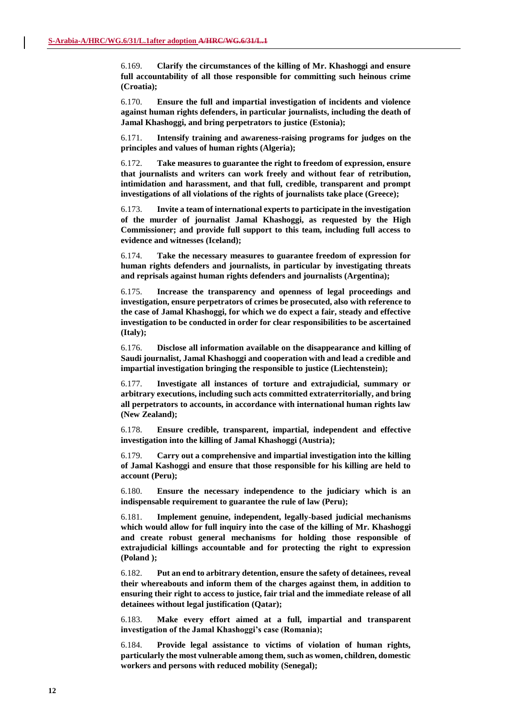6.169. **Clarify the circumstances of the killing of Mr. Khashoggi and ensure full accountability of all those responsible for committing such heinous crime (Croatia);**

6.170. **Ensure the full and impartial investigation of incidents and violence against human rights defenders, in particular journalists, including the death of Jamal Khashoggi, and bring perpetrators to justice (Estonia);**

6.171. **Intensify training and awareness-raising programs for judges on the principles and values of human rights (Algeria);**

6.172. **Take measures to guarantee the right to freedom of expression, ensure that journalists and writers can work freely and without fear of retribution, intimidation and harassment, and that full, credible, transparent and prompt investigations of all violations of the rights of journalists take place (Greece);**

6.173. **Invite a team of international experts to participate in the investigation of the murder of journalist Jamal Khashoggi, as requested by the High Commissioner; and provide full support to this team, including full access to evidence and witnesses (Iceland);**

6.174. **Take the necessary measures to guarantee freedom of expression for human rights defenders and journalists, in particular by investigating threats and reprisals against human rights defenders and journalists (Argentina);**

6.175. **Increase the transparency and openness of legal proceedings and investigation, ensure perpetrators of crimes be prosecuted, also with reference to the case of Jamal Khashoggi, for which we do expect a fair, steady and effective investigation to be conducted in order for clear responsibilities to be ascertained (Italy);**

6.176. **Disclose all information available on the disappearance and killing of Saudi journalist, Jamal Khashoggi and cooperation with and lead a credible and impartial investigation bringing the responsible to justice (Liechtenstein);**

6.177. **Investigate all instances of torture and extrajudicial, summary or arbitrary executions, including such acts committed extraterritorially, and bring all perpetrators to accounts, in accordance with international human rights law (New Zealand);**

6.178. **Ensure credible, transparent, impartial, independent and effective investigation into the killing of Jamal Khashoggi (Austria);**

6.179. **Carry out a comprehensive and impartial investigation into the killing of Jamal Kashoggi and ensure that those responsible for his killing are held to account (Peru);**

6.180. **Ensure the necessary independence to the judiciary which is an indispensable requirement to guarantee the rule of law (Peru);**

6.181. **Implement genuine, independent, legally-based judicial mechanisms which would allow for full inquiry into the case of the killing of Mr. Khashoggi and create robust general mechanisms for holding those responsible of extrajudicial killings accountable and for protecting the right to expression (Poland );**

6.182. **Put an end to arbitrary detention, ensure the safety of detainees, reveal their whereabouts and inform them of the charges against them, in addition to ensuring their right to access to justice, fair trial and the immediate release of all detainees without legal justification (Qatar);**

6.183. **Make every effort aimed at a full, impartial and transparent investigation of the Jamal Khashoggi's case (Romania);**

6.184. **Provide legal assistance to victims of violation of human rights, particularly the most vulnerable among them, such as women, children, domestic workers and persons with reduced mobility (Senegal);**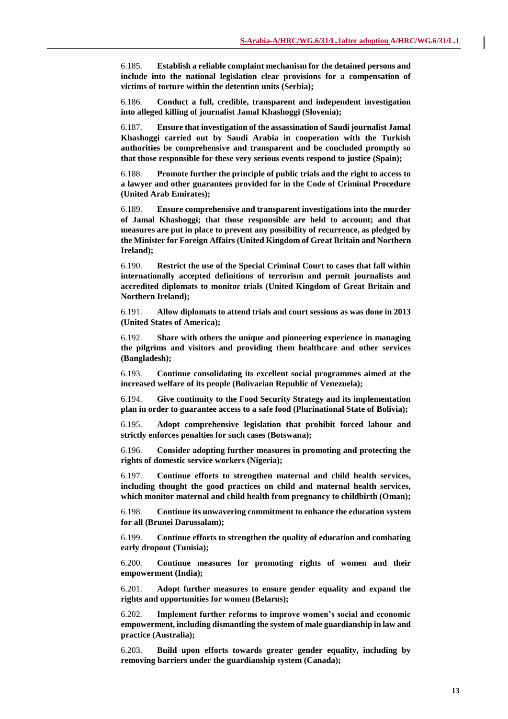6.185. **Establish a reliable complaint mechanism for the detained persons and include into the national legislation clear provisions for a compensation of victims of torture within the detention units (Serbia);**

6.186. **Conduct a full, credible, transparent and independent investigation into alleged killing of journalist Jamal Khashoggi (Slovenia);**

6.187. **Ensure that investigation of the assassination of Saudi journalist Jamal Khashoggi carried out by Saudi Arabia in cooperation with the Turkish authorities be comprehensive and transparent and be concluded promptly so that those responsible for these very serious events respond to justice (Spain);**

6.188. **Promote further the principle of public trials and the right to access to a lawyer and other guarantees provided for in the Code of Criminal Procedure (United Arab Emirates);**

6.189. **Ensure comprehensive and transparent investigations into the murder of Jamal Khashoggi; that those responsible are held to account; and that measures are put in place to prevent any possibility of recurrence, as pledged by the Minister for Foreign Affairs (United Kingdom of Great Britain and Northern Ireland);**

6.190. **Restrict the use of the Special Criminal Court to cases that fall within internationally accepted definitions of terrorism and permit journalists and accredited diplomats to monitor trials (United Kingdom of Great Britain and Northern Ireland);**

6.191. **Allow diplomats to attend trials and court sessions as was done in 2013 (United States of America);**

6.192. **Share with others the unique and pioneering experience in managing the pilgrims and visitors and providing them healthcare and other services (Bangladesh);**

6.193. **Continue consolidating its excellent social programmes aimed at the increased welfare of its people (Bolivarian Republic of Venezuela);**

6.194. **Give continuity to the Food Security Strategy and its implementation plan in order to guarantee access to a safe food (Plurinational State of Bolivia);**

6.195. **Adopt comprehensive legislation that prohibit forced labour and strictly enforces penalties for such cases (Botswana);**

6.196. **Consider adopting further measures in promoting and protecting the rights of domestic service workers (Nigeria);**

6.197. **Continue efforts to strengthen maternal and child health services, including thought the good practices on child and maternal health services, which monitor maternal and child health from pregnancy to childbirth (Oman);**

6.198. **Continue its unwavering commitment to enhance the education system for all (Brunei Darussalam);**

6.199. **Continue efforts to strengthen the quality of education and combating early dropout (Tunisia);**

6.200. **Continue measures for promoting rights of women and their empowerment (India);**

6.201. **Adopt further measures to ensure gender equality and expand the rights and opportunities for women (Belarus);**

6.202. **Implement further reforms to improve women's social and economic empowerment, including dismantling the system of male guardianship in law and practice (Australia);**

6.203. **Build upon efforts towards greater gender equality, including by removing barriers under the guardianship system (Canada);**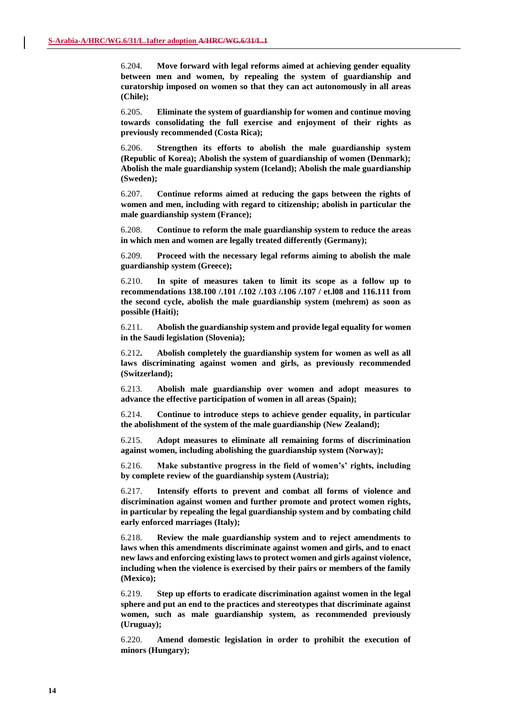6.204. **Move forward with legal reforms aimed at achieving gender equality between men and women, by repealing the system of guardianship and curatorship imposed on women so that they can act autonomously in all areas (Chile);**

6.205. **Eliminate the system of guardianship for women and continue moving towards consolidating the full exercise and enjoyment of their rights as previously recommended (Costa Rica);**

6.206. **Strengthen its efforts to abolish the male guardianship system (Republic of Korea); Abolish the system of guardianship of women (Denmark); Abolish the male guardianship system (Iceland); Abolish the male guardianship (Sweden);**

6.207. **Continue reforms aimed at reducing the gaps between the rights of women and men, including with regard to citizenship; abolish in particular the male guardianship system (France);**

6.208. **Continue to reform the male guardianship system to reduce the areas in which men and women are legally treated differently (Germany);**

6.209. **Proceed with the necessary legal reforms aiming to abolish the male guardianship system (Greece);**

6.210. **In spite of measures taken to limit its scope as a follow up to recommendations 138.100 /.101 /.102 /.103 /.106 /.107 / et.l08 and 116.111 from the second cycle, abolish the male guardianship system (mehrem) as soon as possible (Haiti);**

6.211. **Abolish the guardianship system and provide legal equality for women in the Saudi legislation (Slovenia);**

6.212**. Abolish completely the guardianship system for women as well as all laws discriminating against women and girls, as previously recommended (Switzerland);**

6.213. **Abolish male guardianship over women and adopt measures to advance the effective participation of women in all areas (Spain);**

6.214. **Continue to introduce steps to achieve gender equality, in particular the abolishment of the system of the male guardianship (New Zealand);**

6.215. **Adopt measures to eliminate all remaining forms of discrimination against women, including abolishing the guardianship system (Norway);**

6.216. **Make substantive progress in the field of women's' rights, including by complete review of the guardianship system (Austria);**

6.217. **Intensify efforts to prevent and combat all forms of violence and discrimination against women and further promote and protect women rights, in particular by repealing the legal guardianship system and by combating child early enforced marriages (Italy);**

6.218. **Review the male guardianship system and to reject amendments to laws when this amendments discriminate against women and girls, and to enact new laws and enforcing existing laws to protect women and girls against violence, including when the violence is exercised by their pairs or members of the family (Mexico);**

6.219. **Step up efforts to eradicate discrimination against women in the legal sphere and put an end to the practices and stereotypes that discriminate against women, such as male guardianship system, as recommended previously (Uruguay);**

6.220. **Amend domestic legislation in order to prohibit the execution of minors (Hungary);**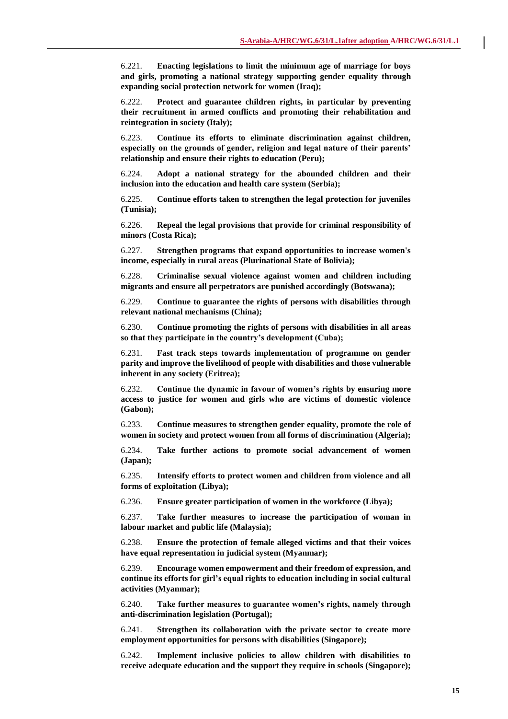6.221. **Enacting legislations to limit the minimum age of marriage for boys and girls, promoting a national strategy supporting gender equality through expanding social protection network for women (Iraq);**

6.222. **Protect and guarantee children rights, in particular by preventing their recruitment in armed conflicts and promoting their rehabilitation and reintegration in society (Italy);**

6.223. **Continue its efforts to eliminate discrimination against children, especially on the grounds of gender, religion and legal nature of their parents' relationship and ensure their rights to education (Peru);**

6.224. **Adopt a national strategy for the abounded children and their inclusion into the education and health care system (Serbia);**

6.225. **Continue efforts taken to strengthen the legal protection for juveniles (Tunisia);**

6.226. **Repeal the legal provisions that provide for criminal responsibility of minors (Costa Rica);**

6.227. **Strengthen programs that expand opportunities to increase women's income, especially in rural areas (Plurinational State of Bolivia);**

6.228. **Criminalise sexual violence against women and children including migrants and ensure all perpetrators are punished accordingly (Botswana);**

6.229. **Continue to guarantee the rights of persons with disabilities through relevant national mechanisms (China);**

6.230. **Continue promoting the rights of persons with disabilities in all areas so that they participate in the country's development (Cuba);**

6.231. **Fast track steps towards implementation of programme on gender parity and improve the livelihood of people with disabilities and those vulnerable inherent in any society (Eritrea);**

6.232. **Continue the dynamic in favour of women's rights by ensuring more access to justice for women and girls who are victims of domestic violence (Gabon);**

6.233. **Continue measures to strengthen gender equality, promote the role of women in society and protect women from all forms of discrimination (Algeria);**

6.234. **Take further actions to promote social advancement of women (Japan);**

6.235. **Intensify efforts to protect women and children from violence and all forms of exploitation (Libya);**

6.236. **Ensure greater participation of women in the workforce (Libya);**

6.237. **Take further measures to increase the participation of woman in labour market and public life (Malaysia);**

6.238. **Ensure the protection of female alleged victims and that their voices have equal representation in judicial system (Myanmar);**

6.239. **Encourage women empowerment and their freedom of expression, and continue its efforts for girl's equal rights to education including in social cultural activities (Myanmar);**

6.240. **Take further measures to guarantee women's rights, namely through anti-discrimination legislation (Portugal);**

6.241. **Strengthen its collaboration with the private sector to create more employment opportunities for persons with disabilities (Singapore);**

6.242. **Implement inclusive policies to allow children with disabilities to receive adequate education and the support they require in schools (Singapore);**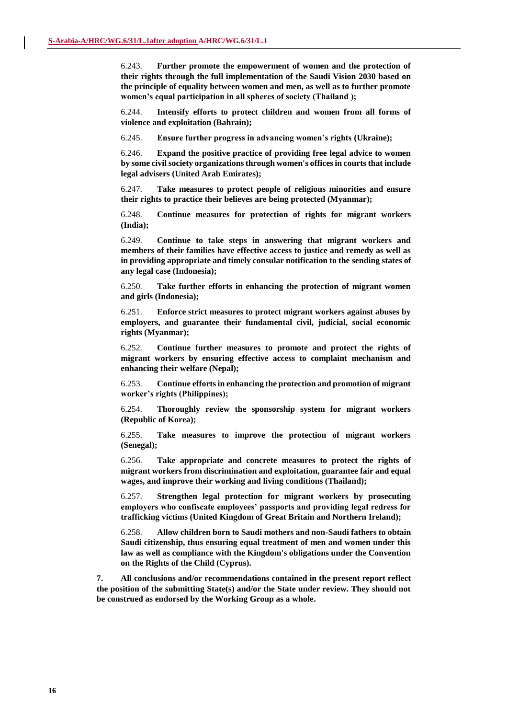6.243. **Further promote the empowerment of women and the protection of their rights through the full implementation of the Saudi Vision 2030 based on the principle of equality between women and men, as well as to further promote women's equal participation in all spheres of society (Thailand );**

6.244. **Intensify efforts to protect children and women from all forms of violence and exploitation (Bahrain);**

6.245. **Ensure further progress in advancing women's rights (Ukraine);**

6.246. **Expand the positive practice of providing free legal advice to women by some civil society organizations through women's offices in courts that include legal advisers (United Arab Emirates);**

6.247. **Take measures to protect people of religious minorities and ensure their rights to practice their believes are being protected (Myanmar);**

6.248. **Continue measures for protection of rights for migrant workers (India);**

6.249. **Continue to take steps in answering that migrant workers and members of their families have effective access to justice and remedy as well as in providing appropriate and timely consular notification to the sending states of any legal case (Indonesia);**

6.250. **Take further efforts in enhancing the protection of migrant women and girls (Indonesia);**

6.251. **Enforce strict measures to protect migrant workers against abuses by employers, and guarantee their fundamental civil, judicial, social economic rights (Myanmar);**

6.252. **Continue further measures to promote and protect the rights of migrant workers by ensuring effective access to complaint mechanism and enhancing their welfare (Nepal);**

6.253. **Continue efforts in enhancing the protection and promotion of migrant worker's rights (Philippines);**

6.254. **Thoroughly review the sponsorship system for migrant workers (Republic of Korea);**

6.255. **Take measures to improve the protection of migrant workers (Senegal);**

6.256. **Take appropriate and concrete measures to protect the rights of migrant workers from discrimination and exploitation, guarantee fair and equal wages, and improve their working and living conditions (Thailand);**

6.257. **Strengthen legal protection for migrant workers by prosecuting employers who confiscate employees' passports and providing legal redress for trafficking victims (United Kingdom of Great Britain and Northern Ireland);**

6.258. **Allow children born to Saudi mothers and non-Saudi fathers to obtain Saudi citizenship, thus ensuring equal treatment of men and women under this law as well as compliance with the Kingdom's obligations under the Convention on the Rights of the Child (Cyprus).**

**7. All conclusions and/or recommendations contained in the present report reflect the position of the submitting State(s) and/or the State under review. They should not be construed as endorsed by the Working Group as a whole.**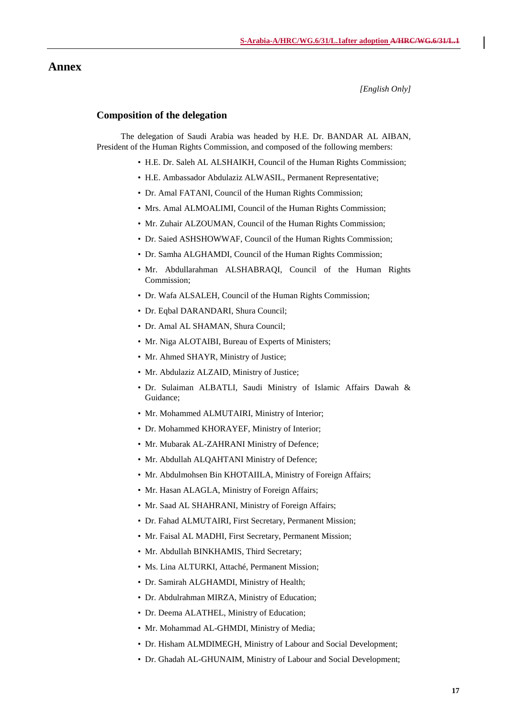### **Annex**

*[English Only]*

#### **Composition of the delegation**

The delegation of Saudi Arabia was headed by H.E. Dr. BANDAR AL AIBAN, President of the Human Rights Commission, and composed of the following members:

- H.E. Dr. Saleh AL ALSHAIKH, Council of the Human Rights Commission;
- H.E. Ambassador Abdulaziz ALWASIL, Permanent Representative;
- Dr. Amal FATANI, Council of the Human Rights Commission;
- Mrs. Amal ALMOALIMI, Council of the Human Rights Commission;
- Mr. Zuhair ALZOUMAN, Council of the Human Rights Commission;
- Dr. Saied ASHSHOWWAF, Council of the Human Rights Commission;
- Dr. Samha ALGHAMDI, Council of the Human Rights Commission;
- Mr. Abdullarahman ALSHABRAQI, Council of the Human Rights Commission;
- Dr. Wafa ALSALEH, Council of the Human Rights Commission;
- Dr. Eqbal DARANDARI, Shura Council;
- Dr. Amal AL SHAMAN, Shura Council;
- Mr. Niga ALOTAIBI, Bureau of Experts of Ministers;
- Mr. Ahmed SHAYR, Ministry of Justice;
- Mr. Abdulaziz ALZAID, Ministry of Justice;
- Dr. Sulaiman ALBATLI, Saudi Ministry of Islamic Affairs Dawah & Guidance;
- Mr. Mohammed ALMUTAIRI, Ministry of Interior;
- Dr. Mohammed KHORAYEF, Ministry of Interior;
- Mr. Mubarak AL-ZAHRANI Ministry of Defence;
- Mr. Abdullah ALQAHTANI Ministry of Defence;
- Mr. Abdulmohsen Bin KHOTAIILA, Ministry of Foreign Affairs;
- Mr. Hasan ALAGLA, Ministry of Foreign Affairs;
- Mr. Saad AL SHAHRANI, Ministry of Foreign Affairs;
- Dr. Fahad ALMUTAIRI, First Secretary, Permanent Mission;
- Mr. Faisal AL MADHI, First Secretary, Permanent Mission;
- Mr. Abdullah BINKHAMIS, Third Secretary;
- Ms. Lina ALTURKI, Attaché, Permanent Mission;
- Dr. Samirah ALGHAMDI, Ministry of Health;
- Dr. Abdulrahman MIRZA, Ministry of Education;
- Dr. Deema ALATHEL, Ministry of Education;
- Mr. Mohammad AL-GHMDI, Ministry of Media;
- Dr. Hisham ALMDIMEGH, Ministry of Labour and Social Development;
- Dr. Ghadah AL-GHUNAIM, Ministry of Labour and Social Development;